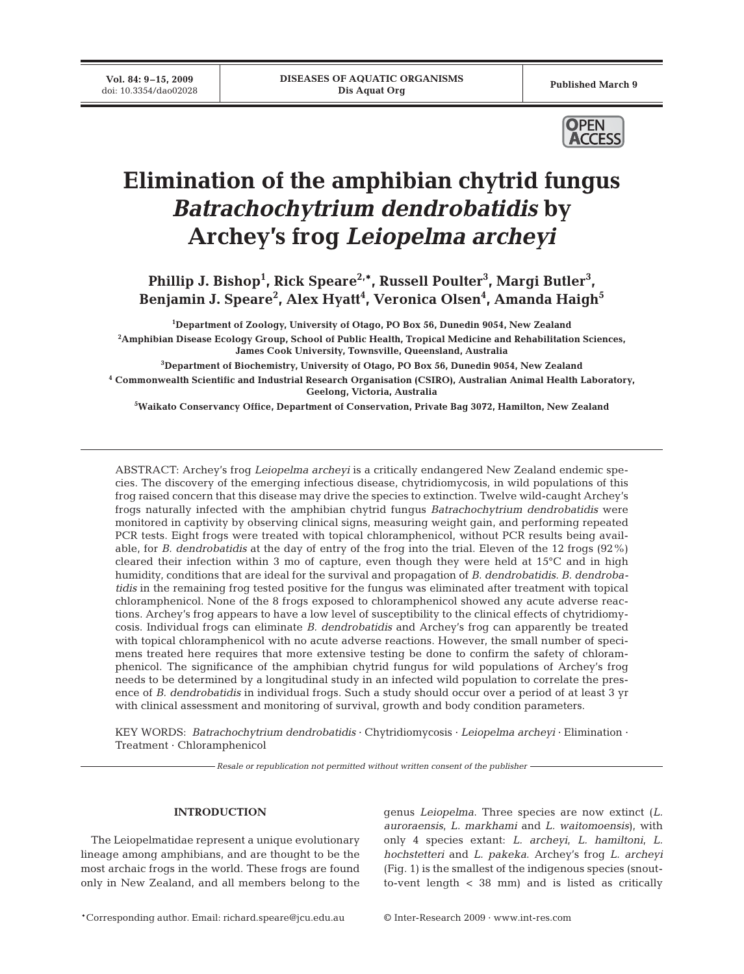**Vol. 84: 9–15, 2009**<br>doi: 10.3354/dao02028



# **Elimination of the amphibian chytrid fungus**  *Batrachochytrium dendrobatidis* **by Archey's frog** *Leiopelma archeyi*

Phillip J. Bishop<sup>1</sup>, Rick Speare<sup>2,\*</sup>, Russell Poulter<sup>3</sup>, Margi Butler<sup>3</sup>, Benjamin J. Speare<sup>2</sup>, Alex Hyatt<sup>4</sup>, Veronica Olsen<sup>4</sup>, Amanda Haigh<sup>5</sup>

 **Department of Zoology, University of Otago, PO Box 56, Dunedin 9054, New Zealand Amphibian Disease Ecology Group, School of Public Health, Tropical Medicine and Rehabilitation Sciences, James Cook University, Townsville, Queensland, Australia Department of Biochemistry, University of Otago, PO Box 56, Dunedin 9054, New Zealand Commonwealth Scientific and Industrial Research Organisation (CSIRO), Australian Animal Health Laboratory, Geelong, Victoria, Australia**

**5 Waikato Conservancy Office, Department of Conservation, Private Bag 3072, Hamilton, New Zealand**

ABSTRACT: Archey's frog *Leiopelma archeyi* is a critically endangered New Zealand endemic species. The discovery of the emerging infectious disease, chytridiomycosis, in wild populations of this frog raised concern that this disease may drive the species to extinction. Twelve wild-caught Archey's frogs naturally infected with the amphibian chytrid fungus *Batrachochytrium dendrobatidis* were monitored in captivity by observing clinical signs, measuring weight gain, and performing repeated PCR tests. Eight frogs were treated with topical chloramphenicol, without PCR results being available, for *B. dendrobatidis* at the day of entry of the frog into the trial. Eleven of the 12 frogs (92%) cleared their infection within 3 mo of capture, even though they were held at 15°C and in high humidity, conditions that are ideal for the survival and propagation of *B. dendrobatidis*. *B. dendrobatidis* in the remaining frog tested positive for the fungus was eliminated after treatment with topical chloramphenicol. None of the 8 frogs exposed to chloramphenicol showed any acute adverse reactions. Archey's frog appears to have a low level of susceptibility to the clinical effects of chytridiomycosis. Individual frogs can eliminate *B. dendrobatidis* and Archey's frog can apparently be treated with topical chloramphenicol with no acute adverse reactions. However, the small number of specimens treated here requires that more extensive testing be done to confirm the safety of chloramphenicol. The significance of the amphibian chytrid fungus for wild populations of Archey's frog needs to be determined by a longitudinal study in an infected wild population to correlate the presence of *B. dendrobatidis* in individual frogs. Such a study should occur over a period of at least 3 yr with clinical assessment and monitoring of survival, growth and body condition parameters.

KEY WORDS: *Batrachochytrium dendrobatidis* · Chytridiomycosis · *Leiopelma archeyi* · Elimination · Treatment · Chloramphenicol

*Resale or republication not permitted without written consent of the publisher*

## **INTRODUCTION**

The Leiopelmatidae represent a unique evolutionary lineage among amphibians, and are thought to be the most archaic frogs in the world. These frogs are found only in New Zealand, and all members belong to the

genus *Leiopelma*. Three species are now extinct (*L. auroraensis*, *L. markhami* and *L. waitomoensis*), with only 4 species extant: *L. archeyi*, *L. hamiltoni*, *L. hochstetteri* and *L. pakeka*. Archey's frog *L. archeyi* (Fig. 1) is the smallest of the indigenous species (snoutto-vent length < 38 mm) and is listed as critically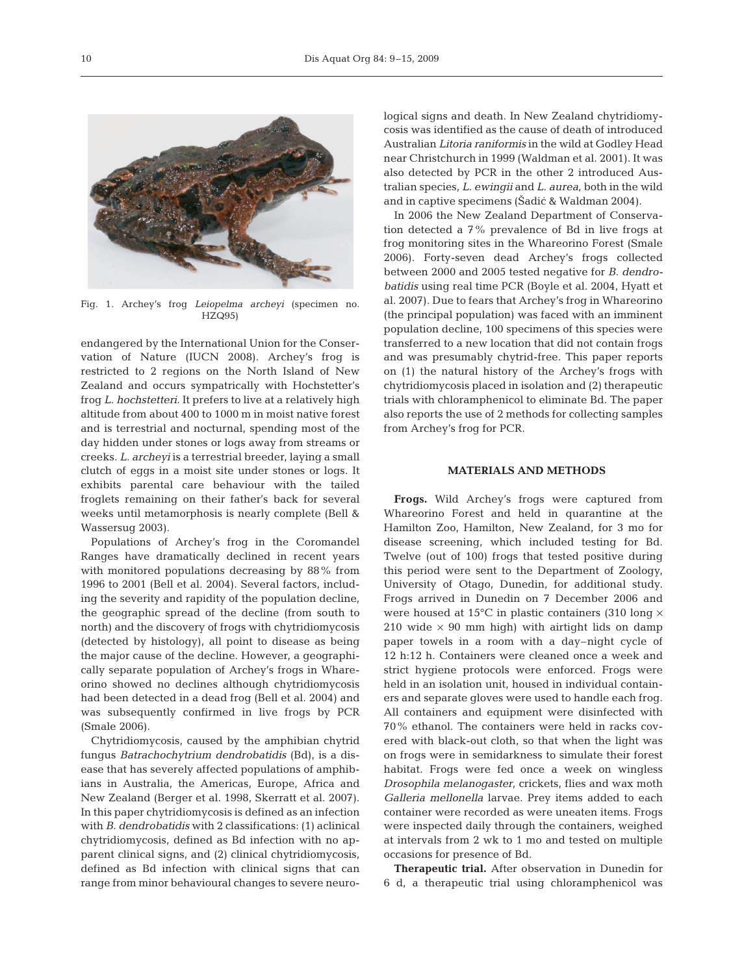

Fig. 1. Archey's frog *Leiopelma archeyi* (specimen no. HZQ95)

endangered by the International Union for the Conservation of Nature (IUCN 2008). Archey's frog is restricted to 2 regions on the North Island of New Zealand and occurs sympatrically with Hochstetter's frog *L. hochstetteri*. It prefers to live at a relatively high altitude from about 400 to 1000 m in moist native forest and is terrestrial and nocturnal, spending most of the day hidden under stones or logs away from streams or creeks. *L. archeyi* is a terrestrial breeder, laying a small clutch of eggs in a moist site under stones or logs. It exhibits parental care behaviour with the tailed froglets remaining on their father's back for several weeks until metamorphosis is nearly complete (Bell & Wassersug 2003).

Populations of Archey's frog in the Coromandel Ranges have dramatically declined in recent years with monitored populations decreasing by 88% from 1996 to 2001 (Bell et al. 2004). Several factors, including the severity and rapidity of the population decline, the geographic spread of the decline (from south to north) and the discovery of frogs with chytridiomycosis (detected by histology), all point to disease as being the major cause of the decline. However, a geographically separate population of Archey's frogs in Whareorino showed no declines although chytridiomycosis had been detected in a dead frog (Bell et al. 2004) and was subsequently confirmed in live frogs by PCR (Smale 2006).

Chytridiomycosis, caused by the amphibian chytrid fungus *Batrachochytrium dendrobatidis* (Bd), is a disease that has severely affected populations of amphibians in Australia, the Americas, Europe, Africa and New Zealand (Berger et al. 1998, Skerratt et al. 2007). In this paper chytridiomycosis is defined as an infection with *B. dendrobatidis* with 2 classifications: (1) aclinical chytridiomycosis, defined as Bd infection with no apparent clinical signs, and (2) clinical chytridiomycosis, defined as Bd infection with clinical signs that can range from minor behavioural changes to severe neurological signs and death. In New Zealand chytridiomycosis was identified as the cause of death of introduced Australian *Litoria raniformis* in the wild at Godley Head near Christchurch in 1999 (Waldman et al. 2001). It was also detected by PCR in the other 2 introduced Australian species, *L. ewingii* and *L. aurea*, both in the wild and in captive specimens (Šadić & Waldman 2004).

In 2006 the New Zealand Department of Conservation detected a 7% prevalence of Bd in live frogs at frog monitoring sites in the Whareorino Forest (Smale 2006). Forty-seven dead Archey's frogs collected between 2000 and 2005 tested negative for *B. dendrobatidis* using real time PCR (Boyle et al. 2004, Hyatt et al. 2007). Due to fears that Archey's frog in Whareorino (the principal population) was faced with an imminent population decline, 100 specimens of this species were transferred to a new location that did not contain frogs and was presumably chytrid-free. This paper reports on (1) the natural history of the Archey's frogs with chytridiomycosis placed in isolation and (2) therapeutic trials with chloramphenicol to eliminate Bd. The paper also reports the use of 2 methods for collecting samples from Archey's frog for PCR.

## **MATERIALS AND METHODS**

**Frogs.** Wild Archey's frogs were captured from Whareorino Forest and held in quarantine at the Hamilton Zoo, Hamilton, New Zealand, for 3 mo for disease screening, which included testing for Bd. Twelve (out of 100) frogs that tested positive during this period were sent to the Department of Zoology, University of Otago, Dunedin, for additional study. Frogs arrived in Dunedin on 7 December 2006 and were housed at 15°C in plastic containers (310 long  $\times$ 210 wide  $\times$  90 mm high) with airtight lids on damp paper towels in a room with a day–night cycle of 12 h:12 h. Containers were cleaned once a week and strict hygiene protocols were enforced. Frogs were held in an isolation unit, housed in individual containers and separate gloves were used to handle each frog. All containers and equipment were disinfected with 70% ethanol. The containers were held in racks covered with black-out cloth, so that when the light was on frogs were in semidarkness to simulate their forest habitat. Frogs were fed once a week on wingless *Drosophila melanogaster*, crickets, flies and wax moth *Galleria mellonella* larvae. Prey items added to each container were recorded as were uneaten items. Frogs were inspected daily through the containers, weighed at intervals from 2 wk to 1 mo and tested on multiple occasions for presence of Bd.

**Therapeutic trial.** After observation in Dunedin for 6 d, a therapeutic trial using chloramphenicol was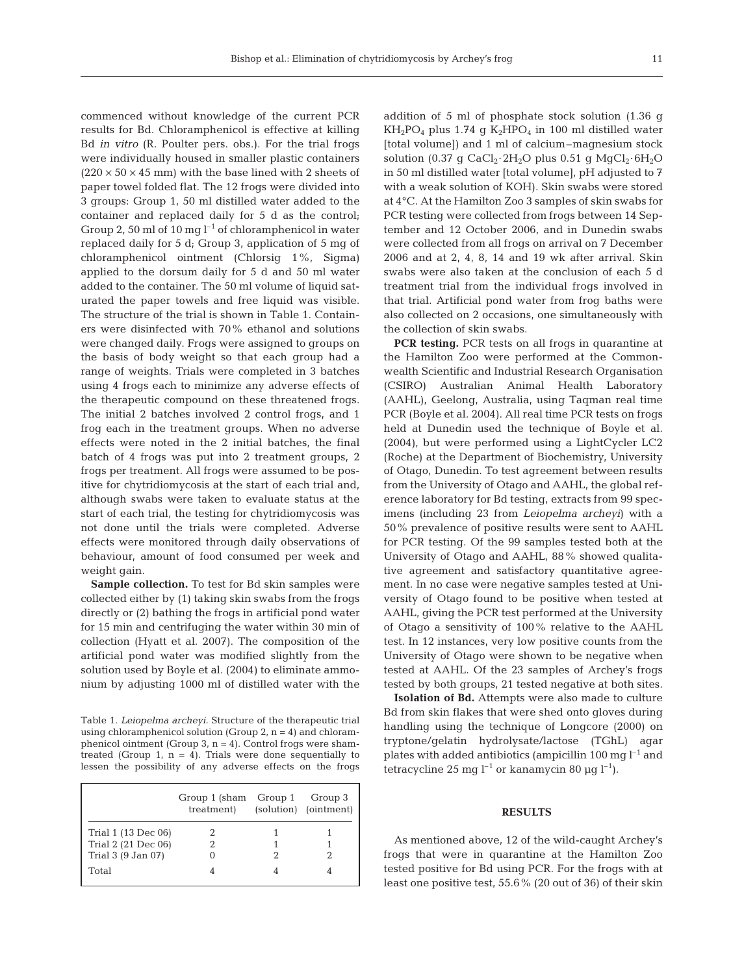commenced without knowledge of the current PCR results for Bd. Chloramphenicol is effective at killing Bd *in vitro* (R. Poulter pers. obs.). For the trial frogs were individually housed in smaller plastic containers  $(220 \times 50 \times 45$  mm) with the base lined with 2 sheets of paper towel folded flat. The 12 frogs were divided into 3 groups: Group 1, 50 ml distilled water added to the container and replaced daily for 5 d as the control; Group 2, 50 ml of 10 mg  $l^{-1}$  of chloramphenicol in water replaced daily for 5 d; Group 3, application of 5 mg of chloramphenicol ointment (Chlorsig 1%, Sigma) applied to the dorsum daily for 5 d and 50 ml water added to the container. The 50 ml volume of liquid saturated the paper towels and free liquid was visible. The structure of the trial is shown in Table 1. Containers were disinfected with 70% ethanol and solutions were changed daily. Frogs were assigned to groups on the basis of body weight so that each group had a range of weights. Trials were completed in 3 batches using 4 frogs each to minimize any adverse effects of the therapeutic compound on these threatened frogs. The initial 2 batches involved 2 control frogs, and 1 frog each in the treatment groups. When no adverse effects were noted in the 2 initial batches, the final batch of 4 frogs was put into 2 treatment groups, 2 frogs per treatment. All frogs were assumed to be positive for chytridiomycosis at the start of each trial and, although swabs were taken to evaluate status at the start of each trial, the testing for chytridiomycosis was not done until the trials were completed. Adverse effects were monitored through daily observations of behaviour, amount of food consumed per week and weight gain.

**Sample collection.** To test for Bd skin samples were collected either by (1) taking skin swabs from the frogs directly or (2) bathing the frogs in artificial pond water for 15 min and centrifuging the water within 30 min of collection (Hyatt et al. 2007). The composition of the artificial pond water was modified slightly from the solution used by Boyle et al. (2004) to eliminate ammonium by adjusting 1000 ml of distilled water with the

Table 1. *Leiopelma archeyi.* Structure of the therapeutic trial using chloramphenicol solution (Group  $2$ ,  $n = 4$ ) and chloramphenicol ointment (Group 3, n = 4). Control frogs were shamtreated (Group 1,  $n = 4$ ). Trials were done sequentially to lessen the possibility of any adverse effects on the frogs

|                     | Group 1 (sham Group 1)<br>treatment) | Group 3<br>(solution) (ointment) |
|---------------------|--------------------------------------|----------------------------------|
| Trial 1 (13 Dec 06) |                                      |                                  |
| Trial 2 (21 Dec 06) |                                      |                                  |
| Trial 3 (9 Jan 07)  |                                      |                                  |
| Total               |                                      |                                  |

addition of 5 ml of phosphate stock solution (1.36 g  $KH_2PO_4$  plus 1.74 g  $K_2HPO_4$  in 100 ml distilled water [total volume]) and 1 ml of calcium–magnesium stock solution (0.37 g CaCl<sub>2</sub>·2H<sub>2</sub>O plus 0.51 g MgCl<sub>2</sub>·6H<sub>2</sub>O in 50 ml distilled water [total volume], pH adjusted to 7 with a weak solution of KOH). Skin swabs were stored at 4°C. At the Hamilton Zoo 3 samples of skin swabs for PCR testing were collected from frogs between 14 September and 12 October 2006, and in Dunedin swabs were collected from all frogs on arrival on 7 December 2006 and at 2, 4, 8, 14 and 19 wk after arrival. Skin swabs were also taken at the conclusion of each 5 d treatment trial from the individual frogs involved in that trial. Artificial pond water from frog baths were also collected on 2 occasions, one simultaneously with the collection of skin swabs.

**PCR testing.** PCR tests on all frogs in quarantine at the Hamilton Zoo were performed at the Commonwealth Scientific and Industrial Research Organisation (CSIRO) Australian Animal Health Laboratory (AAHL), Geelong, Australia, using Taqman real time PCR (Boyle et al. 2004). All real time PCR tests on frogs held at Dunedin used the technique of Boyle et al. (2004), but were performed using a LightCycler LC2 (Roche) at the Department of Biochemistry, University of Otago, Dunedin. To test agreement between results from the University of Otago and AAHL, the global reference laboratory for Bd testing, extracts from 99 specimens (including 23 from *Leiopelma archeyi*) with a 50% prevalence of positive results were sent to AAHL for PCR testing. Of the 99 samples tested both at the University of Otago and AAHL, 88% showed qualitative agreement and satisfactory quantitative agreement. In no case were negative samples tested at University of Otago found to be positive when tested at AAHL, giving the PCR test performed at the University of Otago a sensitivity of 100% relative to the AAHL test. In 12 instances, very low positive counts from the University of Otago were shown to be negative when tested at AAHL. Of the 23 samples of Archey's frogs tested by both groups, 21 tested negative at both sites.

**Isolation of Bd.** Attempts were also made to culture Bd from skin flakes that were shed onto gloves during handling using the technique of Longcore (2000) on tryptone/gelatin hydrolysate/lactose (TGhL) agar plates with added antibiotics (ampicillin 100 mg  $l^{-1}$  and tetracycline 25 mg  $l^{-1}$  or kanamycin 80 µg  $l^{-1}$ ).

#### **RESULTS**

As mentioned above, 12 of the wild-caught Archey's frogs that were in quarantine at the Hamilton Zoo tested positive for Bd using PCR. For the frogs with at least one positive test, 55.6% (20 out of 36) of their skin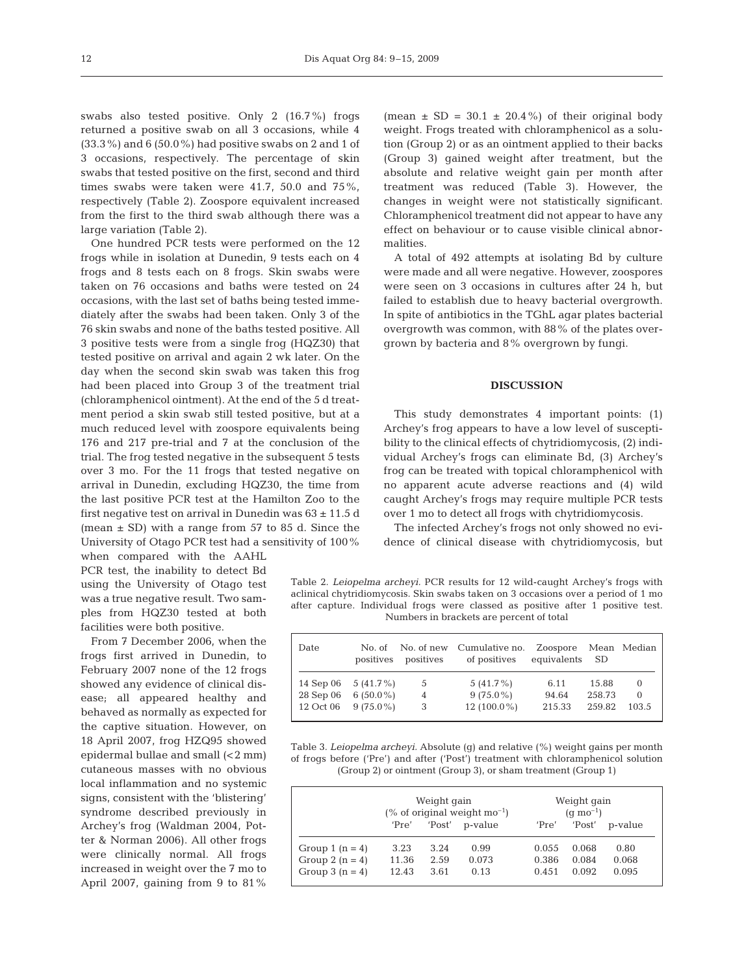swabs also tested positive. Only 2 (16.7%) frogs returned a positive swab on all 3 occasions, while 4 (33.3%) and 6 (50.0%) had positive swabs on 2 and 1 of 3 occasions, respectively. The percentage of skin swabs that tested positive on the first, second and third times swabs were taken were 41.7, 50.0 and 75%, respectively (Table 2). Zoospore equivalent increased from the first to the third swab although there was a large variation (Table 2).

One hundred PCR tests were performed on the 12 frogs while in isolation at Dunedin, 9 tests each on 4 frogs and 8 tests each on 8 frogs. Skin swabs were taken on 76 occasions and baths were tested on 24 occasions, with the last set of baths being tested immediately after the swabs had been taken. Only 3 of the 76 skin swabs and none of the baths tested positive. All 3 positive tests were from a single frog (HQZ30) that tested positive on arrival and again 2 wk later. On the day when the second skin swab was taken this frog had been placed into Group 3 of the treatment trial (chloramphenicol ointment). At the end of the 5 d treatment period a skin swab still tested positive, but at a much reduced level with zoospore equivalents being 176 and 217 pre-trial and 7 at the conclusion of the trial. The frog tested negative in the subsequent 5 tests over 3 mo. For the 11 frogs that tested negative on arrival in Dunedin, excluding HQZ30, the time from the last positive PCR test at the Hamilton Zoo to the first negative test on arrival in Dunedin was  $63 \pm 11.5$  d (mean  $\pm$  SD) with a range from 57 to 85 d. Since the University of Otago PCR test had a sensitivity of 100%

when compared with the AAHL PCR test, the inability to detect Bd using the University of Otago test was a true negative result. Two samples from HQZ30 tested at both facilities were both positive.

From 7 December 2006, when the frogs first arrived in Dunedin, to February 2007 none of the 12 frogs showed any evidence of clinical disease; all appeared healthy and behaved as normally as expected for the captive situation. However, on 18 April 2007, frog HZQ95 showed epidermal bullae and small (<2 mm) cutaneous masses with no obvious local inflammation and no systemic signs, consistent with the 'blistering' syndrome described previously in Archey's frog (Waldman 2004, Potter & Norman 2006). All other frogs were clinically normal. All frogs increased in weight over the 7 mo to April 2007, gaining from 9 to 81%

(mean  $\pm$  SD = 30.1  $\pm$  20.4%) of their original body weight. Frogs treated with chloramphenicol as a solution (Group 2) or as an ointment applied to their backs (Group 3) gained weight after treatment, but the absolute and relative weight gain per month after treatment was reduced (Table 3). However, the changes in weight were not statistically significant. Chloramphenicol treatment did not appear to have any effect on behaviour or to cause visible clinical abnormalities.

A total of 492 attempts at isolating Bd by culture were made and all were negative. However, zoospores were seen on 3 occasions in cultures after 24 h, but failed to establish due to heavy bacterial overgrowth. In spite of antibiotics in the TGhL agar plates bacterial overgrowth was common, with 88% of the plates overgrown by bacteria and 8% overgrown by fungi.

### **DISCUSSION**

This study demonstrates 4 important points: (1) Archey's frog appears to have a low level of susceptibility to the clinical effects of chytridiomycosis, (2) individual Archey's frogs can eliminate Bd, (3) Archey's frog can be treated with topical chloramphenicol with no apparent acute adverse reactions and (4) wild caught Archey's frogs may require multiple PCR tests over 1 mo to detect all frogs with chytridiomycosis.

The infected Archey's frogs not only showed no evidence of clinical disease with chytridiomycosis, but

Table 2. *Leiopelma archeyi.* PCR results for 12 wild-caught Archey's frogs with aclinical chytridiomycosis. Skin swabs taken on 3 occasions over a period of 1 mo after capture. Individual frogs were classed as positive after 1 positive test. Numbers in brackets are percent of total

| Date      |                       | positives positives | No. of No. of new Cumulative no. Zoospore<br>of positives | equivalents | - SD   | Mean Median |
|-----------|-----------------------|---------------------|-----------------------------------------------------------|-------------|--------|-------------|
|           | 14 Sep 06 $5(41.7\%)$ | -5                  | 5 $(41.7\%)$                                              | 6.11        | 15.88  | $\Omega$    |
| 28 Sep 06 | 6 $(50.0\%)$          | $\overline{4}$      | $9(75.0\%)$                                               | 94.64       | 258.73 | $\Omega$    |
| 12 Oct 06 | $9(75.0\%)$           | 3                   | 12 $(100.0\%)$                                            | 215.33      | 259.82 | 103.5       |

Table 3. *Leiopelma archeyi.* Absolute (g) and relative (%) weight gains per month of frogs before ('Pre') and after ('Post') treatment with chloramphenicol solution (Group 2) or ointment (Group 3), or sham treatment (Group 1)

|                   | Weight gain<br>(% of original weight $mo^{-1}$ ) |        |         | Weight gain<br>$(q \text{ mo}^{-1})$ |  |        |         |
|-------------------|--------------------------------------------------|--------|---------|--------------------------------------|--|--------|---------|
|                   | 'Pre'                                            | 'Post' | p-value | 'Pre'                                |  | 'Post' | p-value |
| Group 1 $(n = 4)$ | 3.23                                             | 3.24   | 0.99    | 0.055                                |  | 0.068  | 0.80    |
| Group 2 $(n = 4)$ | 11.36                                            | 2.59   | 0.073   | 0.386                                |  | 0.084  | 0.068   |
| Group $3(n=4)$    | 12.43                                            | 3.61   | 0.13    | 0.451                                |  | 0.092  | 0.095   |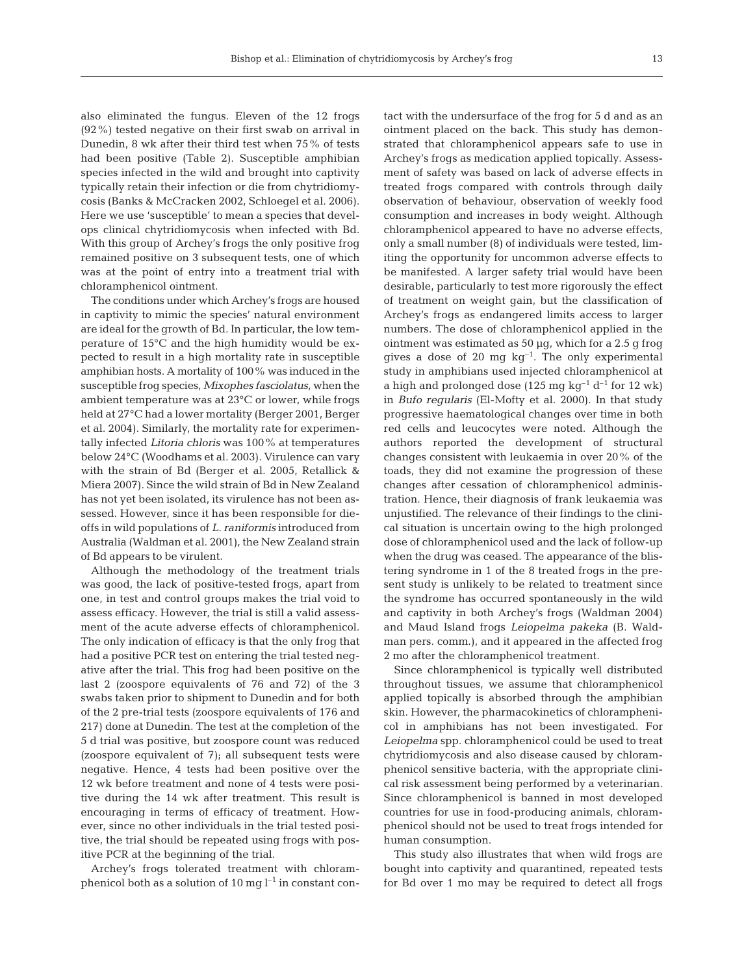also eliminated the fungus. Eleven of the 12 frogs (92%) tested negative on their first swab on arrival in Dunedin, 8 wk after their third test when 75% of tests had been positive (Table 2). Susceptible amphibian species infected in the wild and brought into captivity typically retain their infection or die from chytridiomycosis (Banks & McCracken 2002, Schloegel et al. 2006). Here we use 'susceptible' to mean a species that develops clinical chytridiomycosis when infected with Bd. With this group of Archey's frogs the only positive frog remained positive on 3 subsequent tests, one of which was at the point of entry into a treatment trial with chloramphenicol ointment.

The conditions under which Archey's frogs are housed in captivity to mimic the species' natural environment are ideal for the growth of Bd. In particular, the low temperature of 15°C and the high humidity would be expected to result in a high mortality rate in susceptible amphibian hosts. A mortality of 100% was induced in the susceptible frog species, *Mixophes fasciolatus*, when the ambient temperature was at 23°C or lower, while frogs held at 27°C had a lower mortality (Berger 2001, Berger et al. 2004). Similarly, the mortality rate for experimentally infected *Litoria chloris* was 100% at temperatures below 24°C (Woodhams et al. 2003). Virulence can vary with the strain of Bd (Berger et al. 2005, Retallick & Miera 2007). Since the wild strain of Bd in New Zealand has not yet been isolated, its virulence has not been assessed. However, since it has been responsible for dieoffs in wild populations of *L. raniformis* introduced from Australia (Waldman et al. 2001), the New Zealand strain of Bd appears to be virulent.

Although the methodology of the treatment trials was good, the lack of positive-tested frogs, apart from one, in test and control groups makes the trial void to assess efficacy. However, the trial is still a valid assessment of the acute adverse effects of chloramphenicol. The only indication of efficacy is that the only frog that had a positive PCR test on entering the trial tested negative after the trial. This frog had been positive on the last 2 (zoospore equivalents of 76 and 72) of the 3 swabs taken prior to shipment to Dunedin and for both of the 2 pre-trial tests (zoospore equivalents of 176 and 217) done at Dunedin. The test at the completion of the 5 d trial was positive, but zoospore count was reduced (zoospore equivalent of 7); all subsequent tests were negative. Hence, 4 tests had been positive over the 12 wk before treatment and none of 4 tests were positive during the 14 wk after treatment. This result is encouraging in terms of efficacy of treatment. However, since no other individuals in the trial tested positive, the trial should be repeated using frogs with positive PCR at the beginning of the trial.

Archey's frogs tolerated treatment with chloramphenicol both as a solution of 10 mg  $l^{-1}$  in constant contact with the undersurface of the frog for 5 d and as an ointment placed on the back. This study has demonstrated that chloramphenicol appears safe to use in Archey's frogs as medication applied topically. Assessment of safety was based on lack of adverse effects in treated frogs compared with controls through daily observation of behaviour, observation of weekly food consumption and increases in body weight. Although chloramphenicol appeared to have no adverse effects, only a small number (8) of individuals were tested, limiting the opportunity for uncommon adverse effects to be manifested. A larger safety trial would have been desirable, particularly to test more rigorously the effect of treatment on weight gain, but the classification of Archey's frogs as endangered limits access to larger numbers. The dose of chloramphenicol applied in the ointment was estimated as 50 µg, which for a 2.5 g frog gives a dose of 20 mg  $kg^{-1}$ . The only experimental study in amphibians used injected chloramphenicol at a high and prolonged dose (125 mg kg<sup>-1</sup> d<sup>-1</sup> for 12 wk) in *Bufo regularis* (El-Mofty et al. 2000). In that study progressive haematological changes over time in both red cells and leucocytes were noted. Although the authors reported the development of structural changes consistent with leukaemia in over 20% of the toads, they did not examine the progression of these changes after cessation of chloramphenicol administration. Hence, their diagnosis of frank leukaemia was unjustified. The relevance of their findings to the clinical situation is uncertain owing to the high prolonged dose of chloramphenicol used and the lack of follow-up when the drug was ceased. The appearance of the blistering syndrome in 1 of the 8 treated frogs in the present study is unlikely to be related to treatment since the syndrome has occurred spontaneously in the wild and captivity in both Archey's frogs (Waldman 2004) and Maud Island frogs *Leiopelma pakeka* (B. Waldman pers. comm.), and it appeared in the affected frog 2 mo after the chloramphenicol treatment.

Since chloramphenicol is typically well distributed throughout tissues, we assume that chloramphenicol applied topically is absorbed through the amphibian skin. However, the pharmacokinetics of chloramphenicol in amphibians has not been investigated. For *Leiopelma* spp. chloramphenicol could be used to treat chytridiomycosis and also disease caused by chloramphenicol sensitive bacteria, with the appropriate clinical risk assessment being performed by a veterinarian. Since chloramphenicol is banned in most developed countries for use in food-producing animals, chloramphenicol should not be used to treat frogs intended for human consumption.

This study also illustrates that when wild frogs are bought into captivity and quarantined, repeated tests for Bd over 1 mo may be required to detect all frogs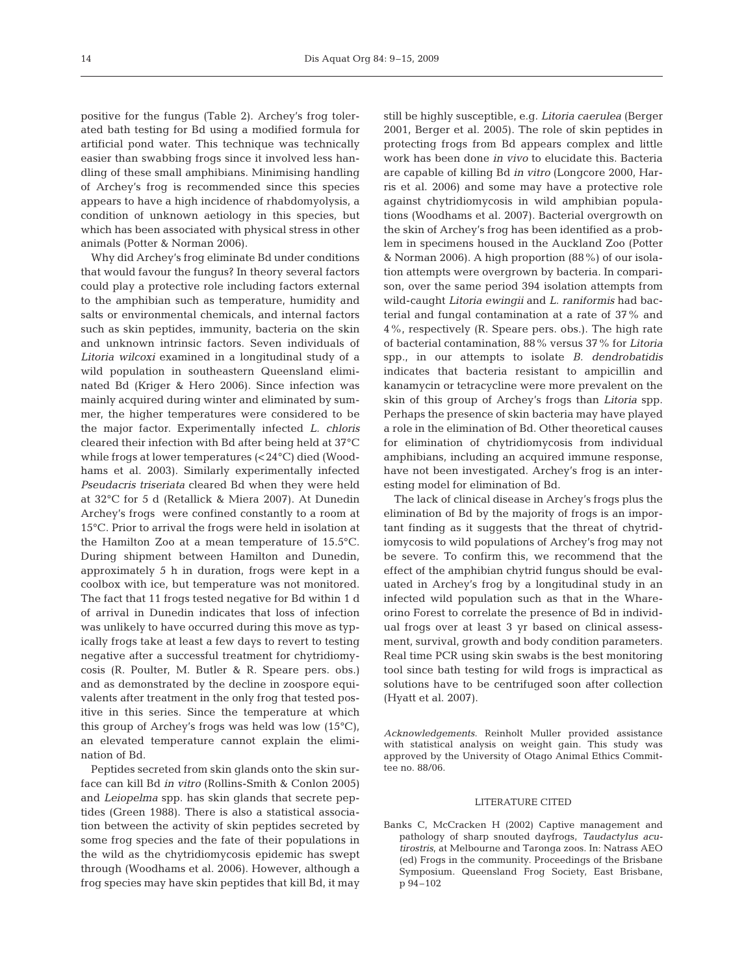positive for the fungus (Table 2). Archey's frog tolerated bath testing for Bd using a modified formula for artificial pond water. This technique was technically easier than swabbing frogs since it involved less handling of these small amphibians. Minimising handling of Archey's frog is recommended since this species appears to have a high incidence of rhabdomyolysis, a condition of unknown aetiology in this species, but which has been associated with physical stress in other animals (Potter & Norman 2006).

Why did Archey's frog eliminate Bd under conditions that would favour the fungus? In theory several factors could play a protective role including factors external to the amphibian such as temperature, humidity and salts or environmental chemicals, and internal factors such as skin peptides, immunity, bacteria on the skin and unknown intrinsic factors. Seven individuals of *Litoria wilcoxi* examined in a longitudinal study of a wild population in southeastern Queensland eliminated Bd (Kriger & Hero 2006). Since infection was mainly acquired during winter and eliminated by summer, the higher temperatures were considered to be the major factor. Experimentally infected *L. chloris* cleared their infection with Bd after being held at 37°C while frogs at lower temperatures (<24°C) died (Woodhams et al. 2003). Similarly experimentally infected *Pseudacris triseriata* cleared Bd when they were held at 32°C for 5 d (Retallick & Miera 2007). At Dunedin Archey's frogs were confined constantly to a room at 15°C. Prior to arrival the frogs were held in isolation at the Hamilton Zoo at a mean temperature of 15.5°C. During shipment between Hamilton and Dunedin, approximately 5 h in duration, frogs were kept in a coolbox with ice, but temperature was not monitored. The fact that 11 frogs tested negative for Bd within 1 d of arrival in Dunedin indicates that loss of infection was unlikely to have occurred during this move as typically frogs take at least a few days to revert to testing negative after a successful treatment for chytridiomycosis (R. Poulter, M. Butler & R. Speare pers. obs.) and as demonstrated by the decline in zoospore equivalents after treatment in the only frog that tested positive in this series. Since the temperature at which this group of Archey's frogs was held was low (15°C), an elevated temperature cannot explain the elimination of Bd.

Peptides secreted from skin glands onto the skin surface can kill Bd *in vitro* (Rollins-Smith & Conlon 2005) and *Leiopelma* spp. has skin glands that secrete peptides (Green 1988). There is also a statistical association between the activity of skin peptides secreted by some frog species and the fate of their populations in the wild as the chytridiomycosis epidemic has swept through (Woodhams et al. 2006). However, although a frog species may have skin peptides that kill Bd, it may

still be highly susceptible, e.g. *Litoria caerulea* (Berger 2001, Berger et al. 2005). The role of skin peptides in protecting frogs from Bd appears complex and little work has been done *in vivo* to elucidate this. Bacteria are capable of killing Bd *in vitro* (Longcore 2000, Harris et al. 2006) and some may have a protective role against chytridiomycosis in wild amphibian populations (Woodhams et al. 2007). Bacterial overgrowth on the skin of Archey's frog has been identified as a problem in specimens housed in the Auckland Zoo (Potter & Norman 2006). A high proportion (88%) of our isolation attempts were overgrown by bacteria. In comparison, over the same period 394 isolation attempts from wild-caught *Litoria ewingii* and *L. raniformis* had bacterial and fungal contamination at a rate of 37% and 4%, respectively (R. Speare pers. obs.). The high rate of bacterial contamination, 88% versus 37% for *Litoria* spp., in our attempts to isolate *B. dendrobatidis* indicates that bacteria resistant to ampicillin and kanamycin or tetracycline were more prevalent on the skin of this group of Archey's frogs than *Litoria* spp. Perhaps the presence of skin bacteria may have played a role in the elimination of Bd. Other theoretical causes for elimination of chytridiomycosis from individual amphibians, including an acquired immune response, have not been investigated. Archey's frog is an interesting model for elimination of Bd.

The lack of clinical disease in Archey's frogs plus the elimination of Bd by the majority of frogs is an important finding as it suggests that the threat of chytridiomycosis to wild populations of Archey's frog may not be severe. To confirm this, we recommend that the effect of the amphibian chytrid fungus should be evaluated in Archey's frog by a longitudinal study in an infected wild population such as that in the Whareorino Forest to correlate the presence of Bd in individual frogs over at least 3 yr based on clinical assessment, survival, growth and body condition parameters. Real time PCR using skin swabs is the best monitoring tool since bath testing for wild frogs is impractical as solutions have to be centrifuged soon after collection (Hyatt et al. 2007).

*Acknowledgements*. Reinholt Muller provided assistance with statistical analysis on weight gain. This study was approved by the University of Otago Animal Ethics Committee no. 88/06.

#### LITERATURE CITED

Banks C, McCracken H (2002) Captive management and pathology of sharp snouted dayfrogs, *Taudactylus acutirostris*, at Melbourne and Taronga zoos. In: Natrass AEO (ed) Frogs in the community. Proceedings of the Brisbane Symposium. Queensland Frog Society, East Brisbane, p 94–102